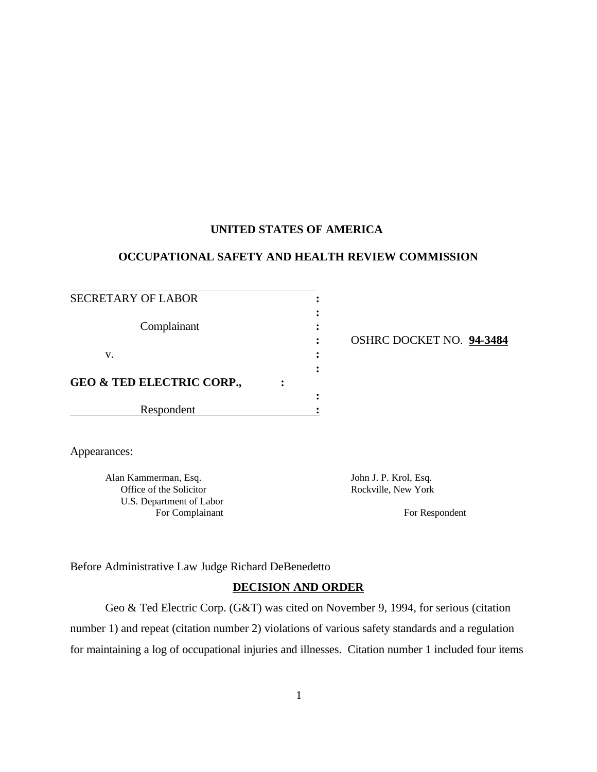## **UNITED STATES OF AMERICA**

# **OCCUPATIONAL SAFETY AND HEALTH REVIEW COMMISSION**

| SECRETARY OF LABOR                   |  |                        |
|--------------------------------------|--|------------------------|
| Complainant                          |  | <b>OSHRC DOCKET NO</b> |
| v.                                   |  |                        |
| <b>GEO &amp; TED ELECTRIC CORP.,</b> |  |                        |
|                                      |  |                        |
| Respondent                           |  |                        |

**:** OSHRC DOCKET NO. **94-3484**

Appearances:

Alan Kammerman, Esq. Santa Company and John J. P. Krol, Esq. Santa Company and John J. P. Krol, Esq. Office of the Solicitor Rockville, New York U.S. Department of Labor For Complainant For Respondent

Before Administrative Law Judge Richard DeBenedetto

### **DECISION AND ORDER**

Geo & Ted Electric Corp. (G&T) was cited on November 9, 1994, for serious (citation number 1) and repeat (citation number 2) violations of various safety standards and a regulation for maintaining a log of occupational injuries and illnesses. Citation number 1 included four items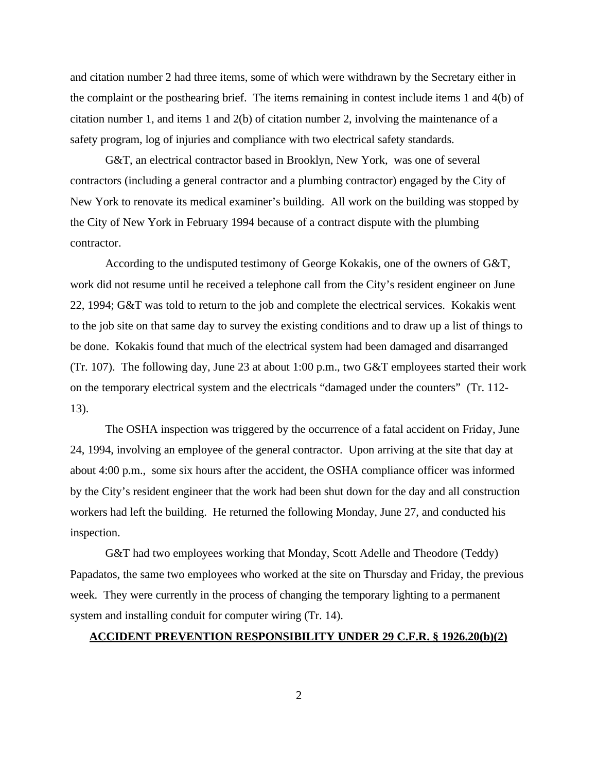and citation number 2 had three items, some of which were withdrawn by the Secretary either in the complaint or the posthearing brief. The items remaining in contest include items 1 and 4(b) of citation number 1, and items 1 and 2(b) of citation number 2, involving the maintenance of a safety program, log of injuries and compliance with two electrical safety standards.

G&T, an electrical contractor based in Brooklyn, New York, was one of several contractors (including a general contractor and a plumbing contractor) engaged by the City of New York to renovate its medical examiner's building. All work on the building was stopped by the City of New York in February 1994 because of a contract dispute with the plumbing contractor.

According to the undisputed testimony of George Kokakis, one of the owners of G&T, work did not resume until he received a telephone call from the City's resident engineer on June 22, 1994; G&T was told to return to the job and complete the electrical services. Kokakis went to the job site on that same day to survey the existing conditions and to draw up a list of things to be done. Kokakis found that much of the electrical system had been damaged and disarranged (Tr. 107). The following day, June 23 at about 1:00 p.m., two G&T employees started their work on the temporary electrical system and the electricals "damaged under the counters" (Tr. 112- 13).

The OSHA inspection was triggered by the occurrence of a fatal accident on Friday, June 24, 1994, involving an employee of the general contractor. Upon arriving at the site that day at about 4:00 p.m., some six hours after the accident, the OSHA compliance officer was informed by the City's resident engineer that the work had been shut down for the day and all construction workers had left the building. He returned the following Monday, June 27, and conducted his inspection.

G&T had two employees working that Monday, Scott Adelle and Theodore (Teddy) Papadatos, the same two employees who worked at the site on Thursday and Friday, the previous week. They were currently in the process of changing the temporary lighting to a permanent system and installing conduit for computer wiring (Tr. 14).

#### **ACCIDENT PREVENTION RESPONSIBILITY UNDER 29 C.F.R. § 1926.20(b)(2)**

2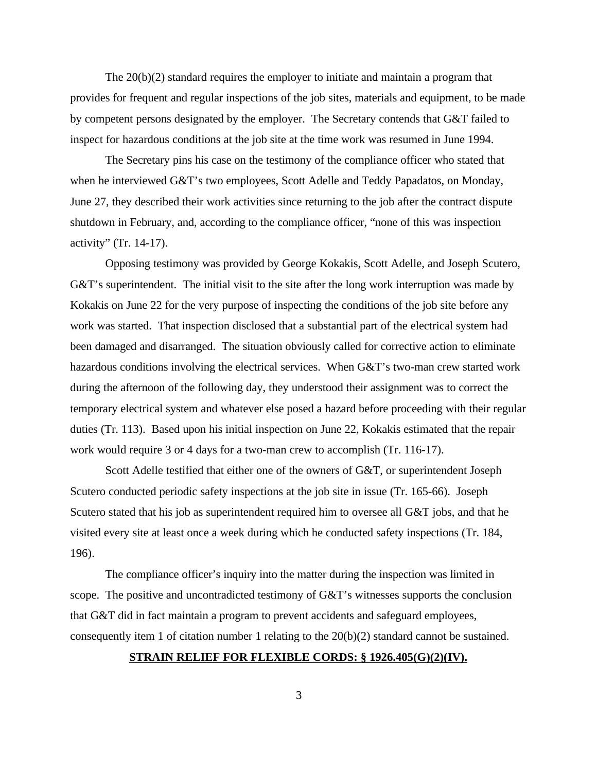The 20(b)(2) standard requires the employer to initiate and maintain a program that provides for frequent and regular inspections of the job sites, materials and equipment, to be made by competent persons designated by the employer. The Secretary contends that G&T failed to inspect for hazardous conditions at the job site at the time work was resumed in June 1994.

The Secretary pins his case on the testimony of the compliance officer who stated that when he interviewed G&T's two employees, Scott Adelle and Teddy Papadatos, on Monday, June 27, they described their work activities since returning to the job after the contract dispute shutdown in February, and, according to the compliance officer, "none of this was inspection activity" (Tr. 14-17).

Opposing testimony was provided by George Kokakis, Scott Adelle, and Joseph Scutero, G&T's superintendent. The initial visit to the site after the long work interruption was made by Kokakis on June 22 for the very purpose of inspecting the conditions of the job site before any work was started. That inspection disclosed that a substantial part of the electrical system had been damaged and disarranged. The situation obviously called for corrective action to eliminate hazardous conditions involving the electrical services. When G&T's two-man crew started work during the afternoon of the following day, they understood their assignment was to correct the temporary electrical system and whatever else posed a hazard before proceeding with their regular duties (Tr. 113). Based upon his initial inspection on June 22, Kokakis estimated that the repair work would require 3 or 4 days for a two-man crew to accomplish (Tr. 116-17).

Scott Adelle testified that either one of the owners of G&T, or superintendent Joseph Scutero conducted periodic safety inspections at the job site in issue (Tr. 165-66). Joseph Scutero stated that his job as superintendent required him to oversee all G&T jobs, and that he visited every site at least once a week during which he conducted safety inspections (Tr. 184, 196).

The compliance officer's inquiry into the matter during the inspection was limited in scope. The positive and uncontradicted testimony of G&T's witnesses supports the conclusion that G&T did in fact maintain a program to prevent accidents and safeguard employees, consequently item 1 of citation number 1 relating to the 20(b)(2) standard cannot be sustained.

#### **STRAIN RELIEF FOR FLEXIBLE CORDS: § 1926.405(G)(2)(IV).**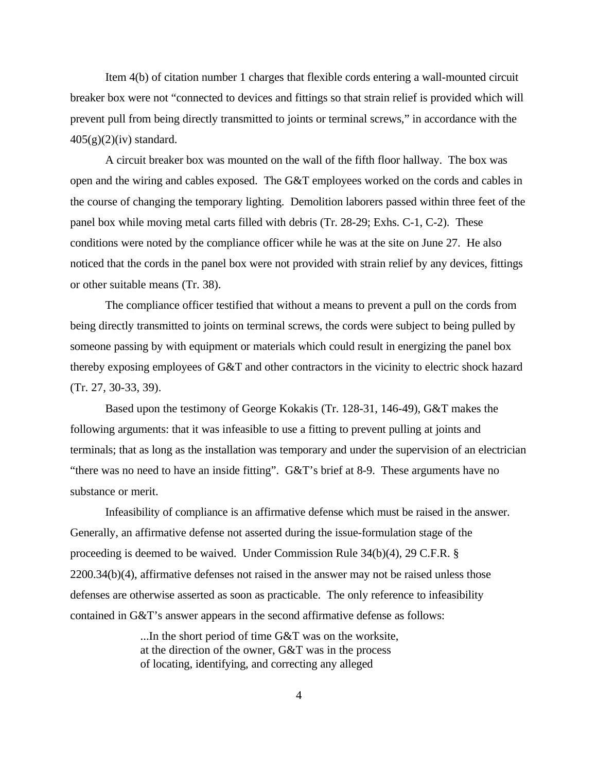Item 4(b) of citation number 1 charges that flexible cords entering a wall-mounted circuit breaker box were not "connected to devices and fittings so that strain relief is provided which will prevent pull from being directly transmitted to joints or terminal screws," in accordance with the  $405(g)(2)(iv)$  standard.

A circuit breaker box was mounted on the wall of the fifth floor hallway. The box was open and the wiring and cables exposed. The G&T employees worked on the cords and cables in the course of changing the temporary lighting. Demolition laborers passed within three feet of the panel box while moving metal carts filled with debris (Tr. 28-29; Exhs. C-1, C-2). These conditions were noted by the compliance officer while he was at the site on June 27. He also noticed that the cords in the panel box were not provided with strain relief by any devices, fittings or other suitable means (Tr. 38).

The compliance officer testified that without a means to prevent a pull on the cords from being directly transmitted to joints on terminal screws, the cords were subject to being pulled by someone passing by with equipment or materials which could result in energizing the panel box thereby exposing employees of G&T and other contractors in the vicinity to electric shock hazard (Tr. 27, 30-33, 39).

Based upon the testimony of George Kokakis (Tr. 128-31, 146-49), G&T makes the following arguments: that it was infeasible to use a fitting to prevent pulling at joints and terminals; that as long as the installation was temporary and under the supervision of an electrician "there was no need to have an inside fitting". G&T's brief at 8-9. These arguments have no substance or merit.

Infeasibility of compliance is an affirmative defense which must be raised in the answer. Generally, an affirmative defense not asserted during the issue-formulation stage of the proceeding is deemed to be waived. Under Commission Rule 34(b)(4), 29 C.F.R. § 2200.34(b)(4), affirmative defenses not raised in the answer may not be raised unless those defenses are otherwise asserted as soon as practicable. The only reference to infeasibility contained in G&T's answer appears in the second affirmative defense as follows:

> ...In the short period of time G&T was on the worksite, at the direction of the owner, G&T was in the process of locating, identifying, and correcting any alleged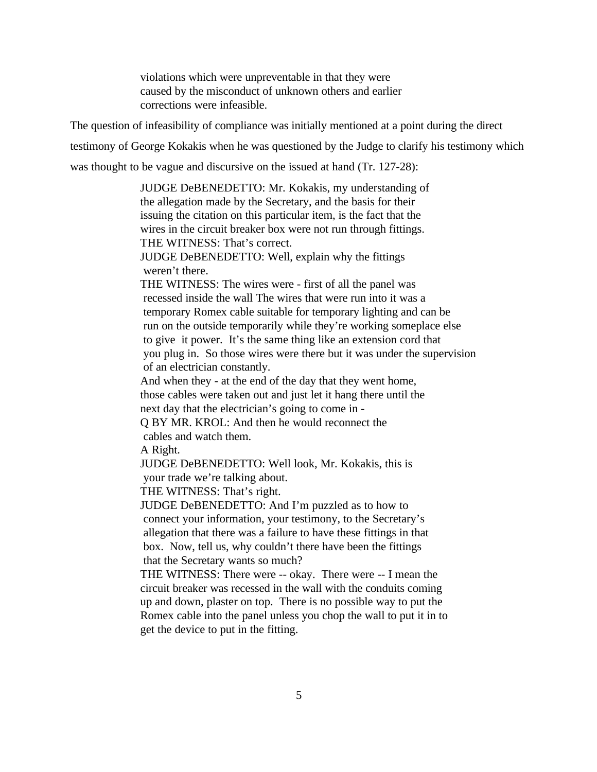violations which were unpreventable in that they were caused by the misconduct of unknown others and earlier corrections were infeasible.

The question of infeasibility of compliance was initially mentioned at a point during the direct

testimony of George Kokakis when he was questioned by the Judge to clarify his testimony which

was thought to be vague and discursive on the issued at hand (Tr. 127-28):

JUDGE DeBENEDETTO: Mr. Kokakis, my understanding of the allegation made by the Secretary, and the basis for their issuing the citation on this particular item, is the fact that the wires in the circuit breaker box were not run through fittings. THE WITNESS: That's correct.

JUDGE DeBENEDETTO: Well, explain why the fittings weren't there.

THE WITNESS: The wires were - first of all the panel was recessed inside the wall The wires that were run into it was a temporary Romex cable suitable for temporary lighting and can be run on the outside temporarily while they're working someplace else to give it power. It's the same thing like an extension cord that you plug in. So those wires were there but it was under the supervision of an electrician constantly.

And when they - at the end of the day that they went home, those cables were taken out and just let it hang there until the next day that the electrician's going to come in -

Q BY MR. KROL: And then he would reconnect the cables and watch them.

A Right.

JUDGE DeBENEDETTO: Well look, Mr. Kokakis, this is your trade we're talking about.

THE WITNESS: That's right.

JUDGE DeBENEDETTO: And I'm puzzled as to how to connect your information, your testimony, to the Secretary's allegation that there was a failure to have these fittings in that box. Now, tell us, why couldn't there have been the fittings that the Secretary wants so much?

THE WITNESS: There were -- okay. There were -- I mean the circuit breaker was recessed in the wall with the conduits coming up and down, plaster on top. There is no possible way to put the Romex cable into the panel unless you chop the wall to put it in to get the device to put in the fitting.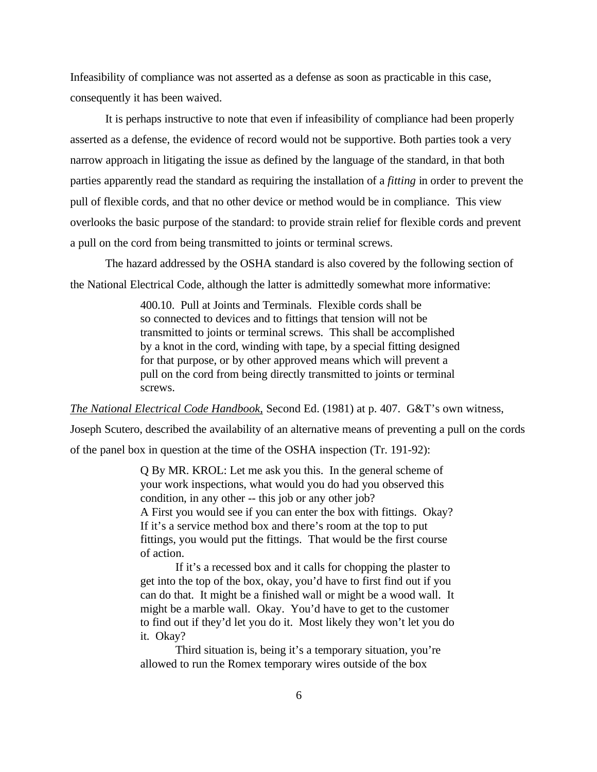Infeasibility of compliance was not asserted as a defense as soon as practicable in this case, consequently it has been waived.

It is perhaps instructive to note that even if infeasibility of compliance had been properly asserted as a defense, the evidence of record would not be supportive. Both parties took a very narrow approach in litigating the issue as defined by the language of the standard, in that both parties apparently read the standard as requiring the installation of a *fitting* in order to prevent the pull of flexible cords, and that no other device or method would be in compliance. This view overlooks the basic purpose of the standard: to provide strain relief for flexible cords and prevent a pull on the cord from being transmitted to joints or terminal screws.

The hazard addressed by the OSHA standard is also covered by the following section of the National Electrical Code, although the latter is admittedly somewhat more informative:

> 400.10. Pull at Joints and Terminals. Flexible cords shall be so connected to devices and to fittings that tension will not be transmitted to joints or terminal screws. This shall be accomplished by a knot in the cord, winding with tape, by a special fitting designed for that purpose, or by other approved means which will prevent a pull on the cord from being directly transmitted to joints or terminal screws.

*The National Electrical Code Handbook*, Second Ed. (1981) at p. 407. G&T's own witness,

Joseph Scutero, described the availability of an alternative means of preventing a pull on the cords

of the panel box in question at the time of the OSHA inspection (Tr. 191-92):

Q By MR. KROL: Let me ask you this. In the general scheme of your work inspections, what would you do had you observed this condition, in any other -- this job or any other job? A First you would see if you can enter the box with fittings. Okay? If it's a service method box and there's room at the top to put fittings, you would put the fittings. That would be the first course of action.

If it's a recessed box and it calls for chopping the plaster to get into the top of the box, okay, you'd have to first find out if you can do that. It might be a finished wall or might be a wood wall. It might be a marble wall. Okay. You'd have to get to the customer to find out if they'd let you do it. Most likely they won't let you do it. Okay?

Third situation is, being it's a temporary situation, you're allowed to run the Romex temporary wires outside of the box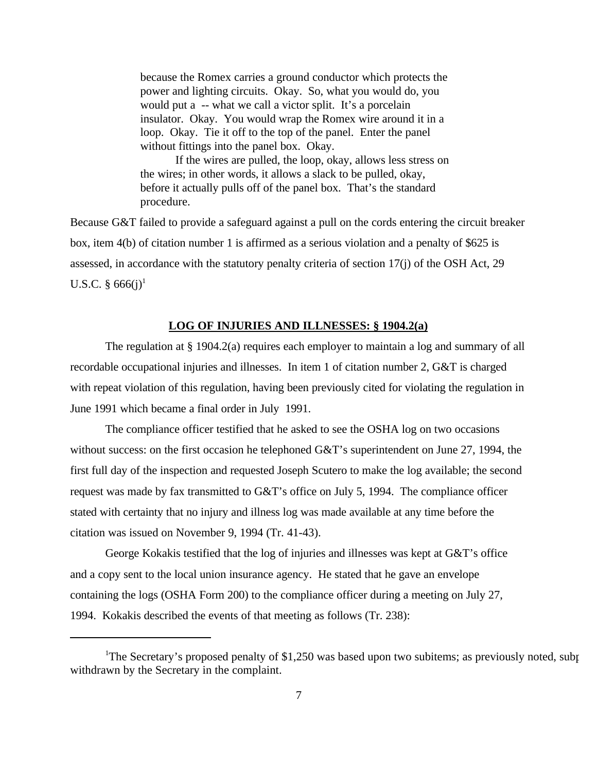because the Romex carries a ground conductor which protects the power and lighting circuits. Okay. So, what you would do, you would put a -- what we call a victor split. It's a porcelain insulator. Okay. You would wrap the Romex wire around it in a loop. Okay. Tie it off to the top of the panel. Enter the panel without fittings into the panel box. Okay.

If the wires are pulled, the loop, okay, allows less stress on the wires; in other words, it allows a slack to be pulled, okay, before it actually pulls off of the panel box. That's the standard procedure.

Because G&T failed to provide a safeguard against a pull on the cords entering the circuit breaker box, item 4(b) of citation number 1 is affirmed as a serious violation and a penalty of \$625 is assessed, in accordance with the statutory penalty criteria of section 17(j) of the OSH Act, 29 U.S.C.  $\S 666(j)^1$ 

#### **LOG OF INJURIES AND ILLNESSES: § 1904.2(a)**

The regulation at § 1904.2(a) requires each employer to maintain a log and summary of all recordable occupational injuries and illnesses. In item 1 of citation number 2, G&T is charged with repeat violation of this regulation, having been previously cited for violating the regulation in June 1991 which became a final order in July 1991.

The compliance officer testified that he asked to see the OSHA log on two occasions without success: on the first occasion he telephoned G&T's superintendent on June 27, 1994, the first full day of the inspection and requested Joseph Scutero to make the log available; the second request was made by fax transmitted to G&T's office on July 5, 1994. The compliance officer stated with certainty that no injury and illness log was made available at any time before the citation was issued on November 9, 1994 (Tr. 41-43).

George Kokakis testified that the log of injuries and illnesses was kept at G&T's office and a copy sent to the local union insurance agency. He stated that he gave an envelope containing the logs (OSHA Form 200) to the compliance officer during a meeting on July 27, 1994. Kokakis described the events of that meeting as follows (Tr. 238):

<sup>&</sup>lt;sup>1</sup>The Secretary's proposed penalty of \$1,250 was based upon two subitems; as previously noted, subp withdrawn by the Secretary in the complaint.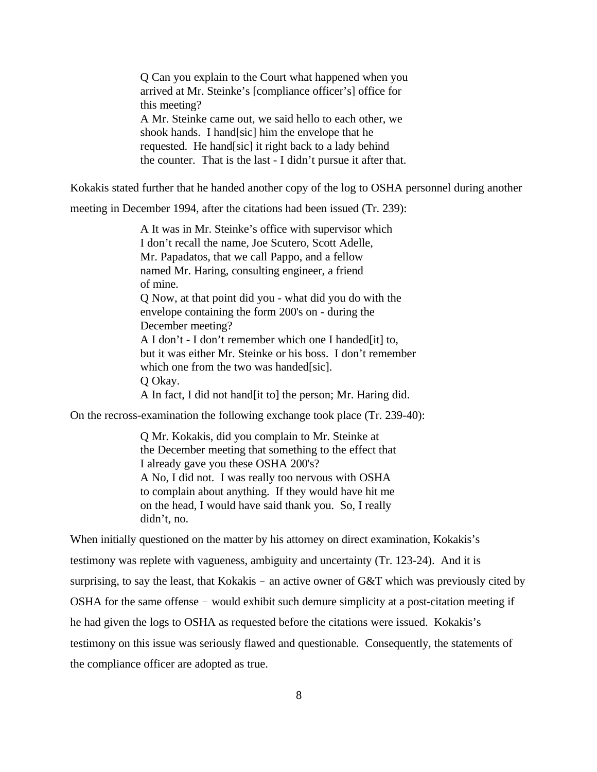Q Can you explain to the Court what happened when you arrived at Mr. Steinke's [compliance officer's] office for this meeting? A Mr. Steinke came out, we said hello to each other, we shook hands. I hand[sic] him the envelope that he requested. He hand[sic] it right back to a lady behind the counter. That is the last - I didn't pursue it after that.

Kokakis stated further that he handed another copy of the log to OSHA personnel during another

meeting in December 1994, after the citations had been issued (Tr. 239):

A It was in Mr. Steinke's office with supervisor which I don't recall the name, Joe Scutero, Scott Adelle, Mr. Papadatos, that we call Pappo, and a fellow named Mr. Haring, consulting engineer, a friend of mine. Q Now, at that point did you - what did you do with the envelope containing the form 200's on - during the December meeting? A I don't - I don't remember which one I handed[it] to, but it was either Mr. Steinke or his boss. I don't remember which one from the two was handed[sic]. Q Okay. A In fact, I did not hand[it to] the person; Mr. Haring did.

On the recross-examination the following exchange took place (Tr. 239-40):

Q Mr. Kokakis, did you complain to Mr. Steinke at the December meeting that something to the effect that I already gave you these OSHA 200's? A No, I did not. I was really too nervous with OSHA to complain about anything. If they would have hit me on the head, I would have said thank you. So, I really didn't, no.

When initially questioned on the matter by his attorney on direct examination, Kokakis's testimony was replete with vagueness, ambiguity and uncertainty (Tr. 123-24). And it is surprising, to say the least, that Kokakis - an active owner of G&T which was previously cited by OSHA for the same offense - would exhibit such demure simplicity at a post-citation meeting if he had given the logs to OSHA as requested before the citations were issued. Kokakis's testimony on this issue was seriously flawed and questionable. Consequently, the statements of the compliance officer are adopted as true.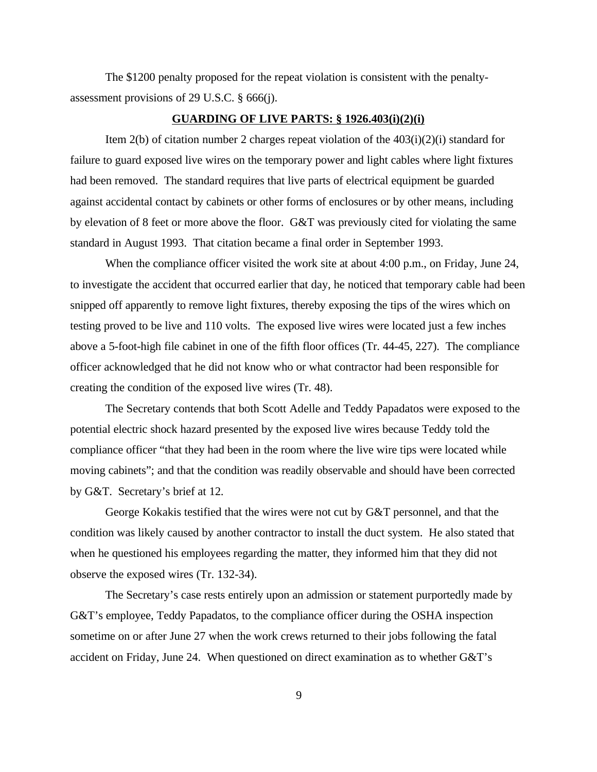The \$1200 penalty proposed for the repeat violation is consistent with the penaltyassessment provisions of 29 U.S.C. § 666(j).

#### **GUARDING OF LIVE PARTS: § 1926.403(i)(2)(i)**

Item  $2(b)$  of citation number 2 charges repeat violation of the  $403(i)(2)(i)$  standard for failure to guard exposed live wires on the temporary power and light cables where light fixtures had been removed. The standard requires that live parts of electrical equipment be guarded against accidental contact by cabinets or other forms of enclosures or by other means, including by elevation of 8 feet or more above the floor. G&T was previously cited for violating the same standard in August 1993. That citation became a final order in September 1993.

When the compliance officer visited the work site at about 4:00 p.m., on Friday, June 24, to investigate the accident that occurred earlier that day, he noticed that temporary cable had been snipped off apparently to remove light fixtures, thereby exposing the tips of the wires which on testing proved to be live and 110 volts. The exposed live wires were located just a few inches above a 5-foot-high file cabinet in one of the fifth floor offices (Tr. 44-45, 227). The compliance officer acknowledged that he did not know who or what contractor had been responsible for creating the condition of the exposed live wires (Tr. 48).

The Secretary contends that both Scott Adelle and Teddy Papadatos were exposed to the potential electric shock hazard presented by the exposed live wires because Teddy told the compliance officer "that they had been in the room where the live wire tips were located while moving cabinets"; and that the condition was readily observable and should have been corrected by G&T. Secretary's brief at 12.

George Kokakis testified that the wires were not cut by G&T personnel, and that the condition was likely caused by another contractor to install the duct system. He also stated that when he questioned his employees regarding the matter, they informed him that they did not observe the exposed wires (Tr. 132-34).

The Secretary's case rests entirely upon an admission or statement purportedly made by G&T's employee, Teddy Papadatos, to the compliance officer during the OSHA inspection sometime on or after June 27 when the work crews returned to their jobs following the fatal accident on Friday, June 24. When questioned on direct examination as to whether G&T's

9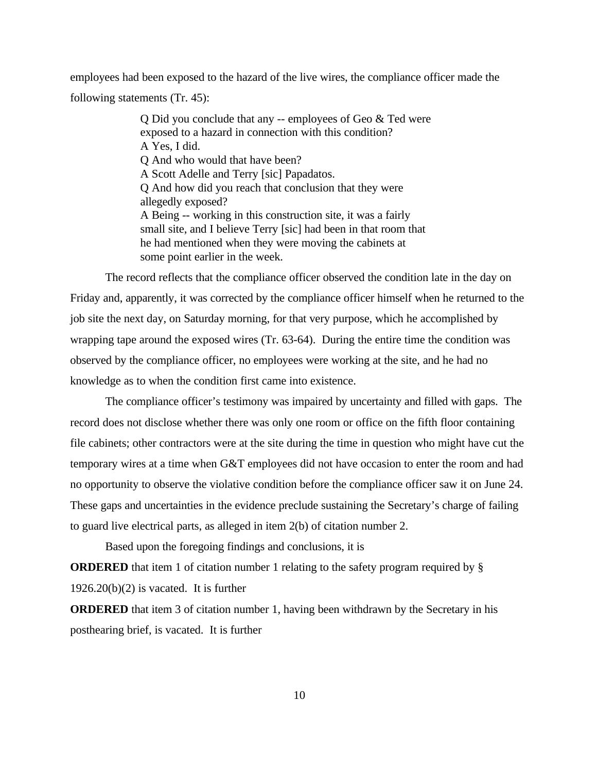employees had been exposed to the hazard of the live wires, the compliance officer made the following statements (Tr. 45):

> Q Did you conclude that any -- employees of Geo & Ted were exposed to a hazard in connection with this condition? A Yes, I did. Q And who would that have been? A Scott Adelle and Terry [sic] Papadatos. Q And how did you reach that conclusion that they were allegedly exposed? A Being -- working in this construction site, it was a fairly small site, and I believe Terry [sic] had been in that room that he had mentioned when they were moving the cabinets at some point earlier in the week.

The record reflects that the compliance officer observed the condition late in the day on Friday and, apparently, it was corrected by the compliance officer himself when he returned to the job site the next day, on Saturday morning, for that very purpose, which he accomplished by wrapping tape around the exposed wires (Tr. 63-64). During the entire time the condition was observed by the compliance officer, no employees were working at the site, and he had no knowledge as to when the condition first came into existence.

The compliance officer's testimony was impaired by uncertainty and filled with gaps. The record does not disclose whether there was only one room or office on the fifth floor containing file cabinets; other contractors were at the site during the time in question who might have cut the temporary wires at a time when G&T employees did not have occasion to enter the room and had no opportunity to observe the violative condition before the compliance officer saw it on June 24. These gaps and uncertainties in the evidence preclude sustaining the Secretary's charge of failing to guard live electrical parts, as alleged in item 2(b) of citation number 2.

Based upon the foregoing findings and conclusions, it is

**ORDERED** that item 1 of citation number 1 relating to the safety program required by §  $1926.20(b)(2)$  is vacated. It is further

**ORDERED** that item 3 of citation number 1, having been withdrawn by the Secretary in his posthearing brief, is vacated. It is further